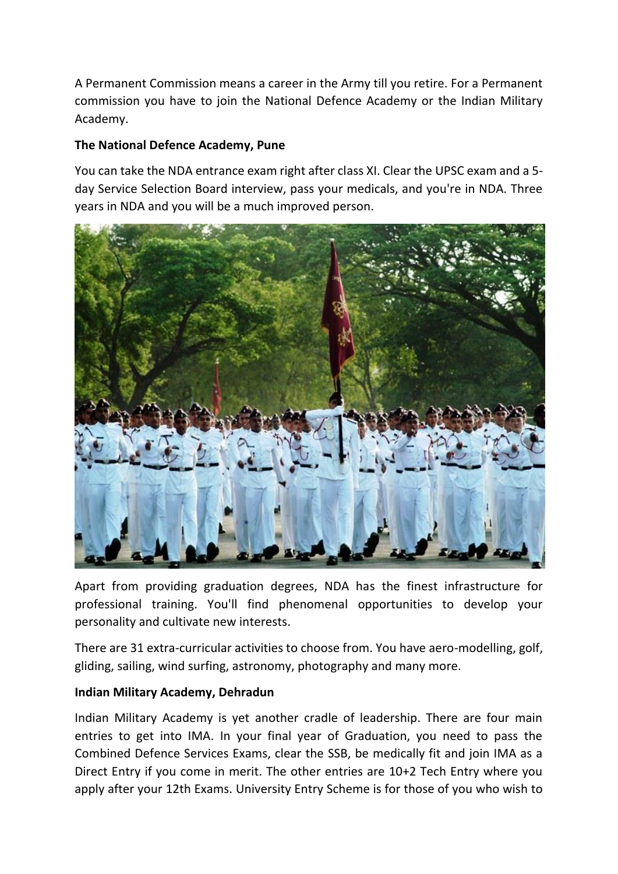A Permanent Commission means a career in the Army till you retire. For a Permanent commission you have to join the National Defence Academy or the Indian Military Academy.

## **The National Defence Academy, Pune**

You can take the NDA entrance exam right after class XI. Clear the UPSC exam and a 5 day Service Selection Board interview, pass your medicals, and you're in NDA. Three years in NDA and you will be a much improved person.



Apart from providing graduation degrees, NDA has the finest infrastructure for professional training. You'll find phenomenal opportunities to develop your personality and cultivate new interests.

There are 31 extra-curricular activities to choose from. You have aero-modelling, golf, gliding, sailing, wind surfing, astronomy, photography and many more.

## **Indian Military Academy, Dehradun**

Indian Military Academy is yet another cradle of leadership. There are four main entries to get into IMA. In your final year of Graduation, you need to pass the Combined Defence Services Exams, clear the SSB, be medically fit and join IMA as a Direct Entry if you come in merit. The other entries are 10+2 Tech Entry where you apply after your 12th Exams. University Entry Scheme is for those of you who wish to